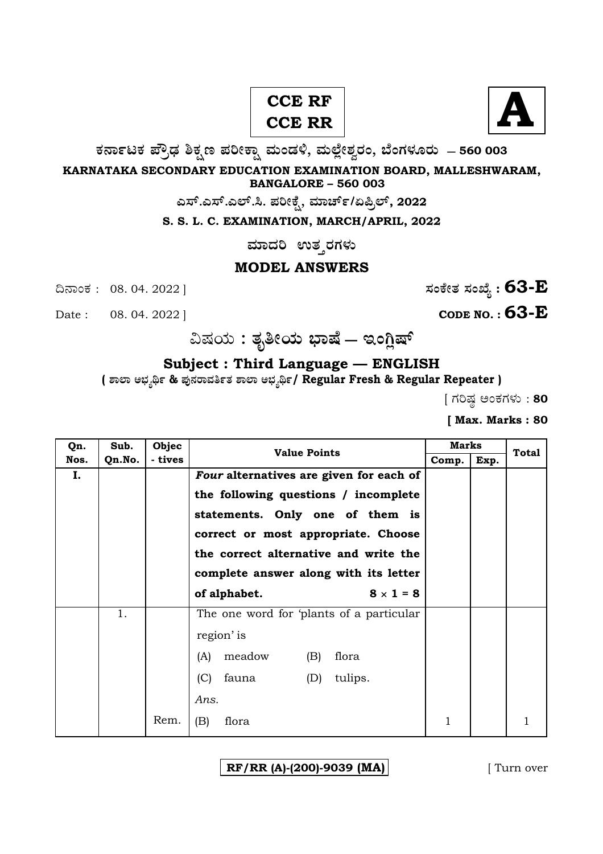## **CCE RF CCE RR**



**O⁄´¤%lO⁄ ÆË√v⁄ ÃO⁄–y Æ⁄¬fiO¤– »⁄flMs⁄ÿ, »⁄fl≈Ê«fiÀ⁄ ¡⁄M, ∑ÊMV⁄◊⁄‡¡⁄fl — 560 003** 

**KARNATAKA SECONDARY EDUCATION EXAMINATION BOARD, MALLESHWARAM, BANGALORE – 560 003** 

**ಎಸ್.ಎಸ್.ಎಲ್.ಸಿ. ಪರೀಕ್ಸೆ, ಮಾರ್ಚ್/ಏಪ್ರಿಲ್, 2022** 

**S. S. L. C. EXAMINATION, MARCH/APRIL, 2022** 

 $\,$ ಮಾದರಿ ಉತ**್ತರಗಳು** 

## **MODEL ANSWERS**

¶´¤MO⁄ : 08. 04. 2022 ] **—⁄MOÊfi}⁄ —⁄MSÊ¿ : 63-E**

Date : 08. 04. 2022 ] **CODE NO. : 63-E** 

…Œ⁄æ⁄fl **: }⁄‰~fiæ⁄fl ∫¤ŒÊ — BMW«ŒÈ**

**Subject : Third Language — ENGLISH** 

**( À¤≈¤ @∫⁄¥¿£% & Æ⁄'¥´⁄¡¤»⁄~%}⁄ À¤≈¤ @∫⁄¥¿£%/ Regular Fresh & Regular Repeater )**

 $[$  ಗರಿಷ್ಠ ಅಂಕಗಳು : 80

**[ Max. Marks : 80** 

| Qn.  | Sub.   | Objec   | <b>Value Points</b>                      | <b>Marks</b> |      | <b>Total</b> |
|------|--------|---------|------------------------------------------|--------------|------|--------------|
| Nos. | Qn.No. | - tives |                                          | Comp.        | Exp. |              |
| I.   |        |         | Four alternatives are given for each of  |              |      |              |
|      |        |         | the following questions / incomplete     |              |      |              |
|      |        |         | statements. Only one of them is          |              |      |              |
|      |        |         | correct or most appropriate. Choose      |              |      |              |
|      |        |         | the correct alternative and write the    |              |      |              |
|      |        |         | complete answer along with its letter    |              |      |              |
|      |        |         | $8 \times 1 = 8$<br>of alphabet.         |              |      |              |
|      | 1.     |         | The one word for 'plants of a particular |              |      |              |
|      |        |         | region' is                               |              |      |              |
|      |        |         | meadow<br>(B)<br>flora<br>(A)            |              |      |              |
|      |        |         | (C)<br>fauna<br>(D)<br>tulips.           |              |      |              |
|      |        |         | Ans.                                     |              |      |              |
|      |        | Rem.    | (B)<br>flora                             | 1            |      | 1            |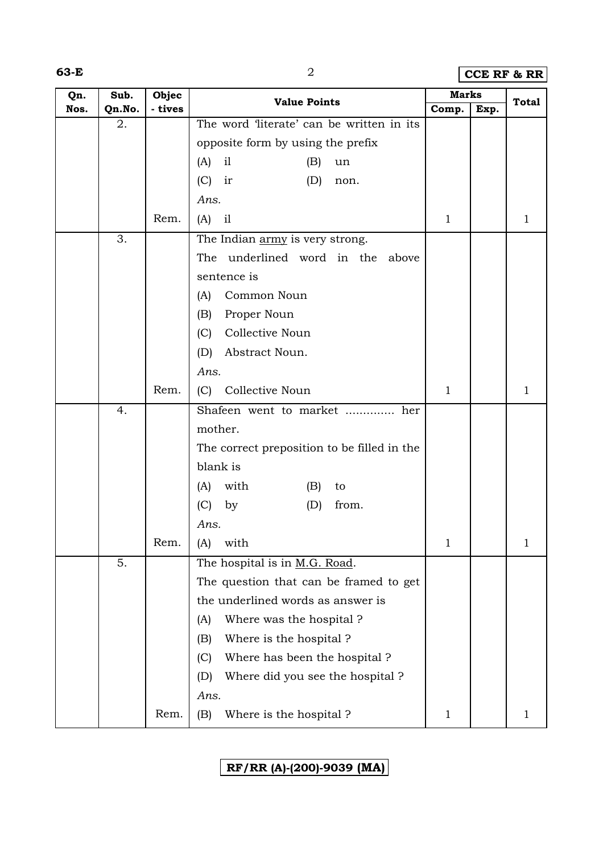**63-E** 2 **CCE RF & RR**

| Qn.  | Sub.   | Objec   | <b>Value Points</b>                         | <b>Marks</b> |      | <b>Total</b> |
|------|--------|---------|---------------------------------------------|--------------|------|--------------|
| Nos. | Qn.No. | - tives |                                             | Comp.        | Exp. |              |
|      | 2.     |         | The word 'literate' can be written in its   |              |      |              |
|      |        |         | opposite form by using the prefix           |              |      |              |
|      |        |         | i1<br>(A)<br>(B)<br>un                      |              |      |              |
|      |        |         | (C)<br>ir<br>(D)<br>non.                    |              |      |              |
|      |        |         | Ans.                                        |              |      |              |
|      |        | Rem.    | (A)<br>i1                                   | $\mathbf{1}$ |      | 1            |
|      | 3.     |         | The Indian army is very strong.             |              |      |              |
|      |        |         | The underlined word in the above            |              |      |              |
|      |        |         | sentence is                                 |              |      |              |
|      |        |         | Common Noun<br>(A)                          |              |      |              |
|      |        |         | Proper Noun<br>(B)                          |              |      |              |
|      |        |         | Collective Noun<br>(C)                      |              |      |              |
|      |        |         | (D)<br>Abstract Noun.                       |              |      |              |
|      |        |         | Ans.                                        |              |      |              |
|      |        | Rem.    | Collective Noun<br>(C)                      | $\mathbf{1}$ |      | 1            |
|      | 4.     |         | Shafeen went to market  her                 |              |      |              |
|      |        |         | mother.                                     |              |      |              |
|      |        |         | The correct preposition to be filled in the |              |      |              |
|      |        |         | blank is                                    |              |      |              |
|      |        |         | with<br>(A)<br>(B)<br>to                    |              |      |              |
|      |        |         | (C)<br>from.<br>by<br>(D)                   |              |      |              |
|      |        |         | Ans.                                        |              |      |              |
|      |        | Rem.    | with<br>(A)                                 | 1            |      | 1            |
|      | 5.     |         | The hospital is in M.G. Road.               |              |      |              |
|      |        |         | The question that can be framed to get      |              |      |              |
|      |        |         | the underlined words as answer is           |              |      |              |
|      |        |         | Where was the hospital?<br>(A)              |              |      |              |
|      |        |         | Where is the hospital?<br>(B)               |              |      |              |
|      |        |         | (C)<br>Where has been the hospital?         |              |      |              |
|      |        |         | Where did you see the hospital?<br>(D)      |              |      |              |
|      |        |         | Ans.                                        |              |      |              |
|      |        | Rem.    | Where is the hospital?<br>(B)               | $\mathbf 1$  |      | 1            |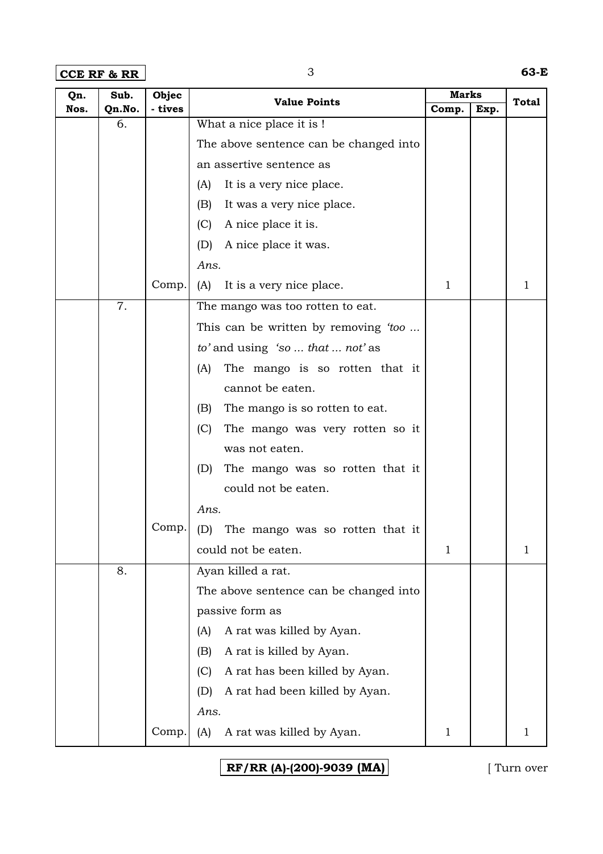**CCE RF & RR** 3 **63-E**

| Qn.  | Sub.   | Objec   | <b>Value Points</b>                    | <b>Marks</b> |      | <b>Total</b> |
|------|--------|---------|----------------------------------------|--------------|------|--------------|
| Nos. | Qn.No. | - tives |                                        | Comp.        | Exp. |              |
|      | 6.     |         | What a nice place it is !              |              |      |              |
|      |        |         | The above sentence can be changed into |              |      |              |
|      |        |         | an assertive sentence as               |              |      |              |
|      |        |         | It is a very nice place.<br>(A)        |              |      |              |
|      |        |         | (B)<br>It was a very nice place.       |              |      |              |
|      |        |         | (C)<br>A nice place it is.             |              |      |              |
|      |        |         | A nice place it was.<br>(D)            |              |      |              |
|      |        |         | Ans.                                   |              |      |              |
|      |        | Comp.   | (A)<br>It is a very nice place.        | $\mathbf{1}$ |      | 1            |
|      | 7.     |         | The mango was too rotten to eat.       |              |      |              |
|      |        |         | This can be written by removing 'too   |              |      |              |
|      |        |         | to' and using 'so  that  not' as       |              |      |              |
|      |        |         | The mango is so rotten that it<br>(A)  |              |      |              |
|      |        |         | cannot be eaten.                       |              |      |              |
|      |        |         | (B)<br>The mango is so rotten to eat.  |              |      |              |
|      |        |         | (C)<br>The mango was very rotten so it |              |      |              |
|      |        |         | was not eaten.                         |              |      |              |
|      |        |         | The mango was so rotten that it<br>(D) |              |      |              |
|      |        |         | could not be eaten.                    |              |      |              |
|      |        |         | Ans.                                   |              |      |              |
|      |        | Comp.   | (D)<br>The mango was so rotten that it |              |      |              |
|      |        |         | could not be eaten.                    | 1            |      | 1            |
|      | 8.     |         | Ayan killed a rat.                     |              |      |              |
|      |        |         | The above sentence can be changed into |              |      |              |
|      |        |         | passive form as                        |              |      |              |
|      |        |         | A rat was killed by Ayan.<br>(A)       |              |      |              |
|      |        |         | A rat is killed by Ayan.<br>(B)        |              |      |              |
|      |        |         | A rat has been killed by Ayan.<br>(C)  |              |      |              |
|      |        |         | A rat had been killed by Ayan.<br>(D)  |              |      |              |
|      |        |         | Ans.                                   |              |      |              |
|      |        | Comp.   | A rat was killed by Ayan.<br>(A)       | $\mathbf 1$  |      | 1            |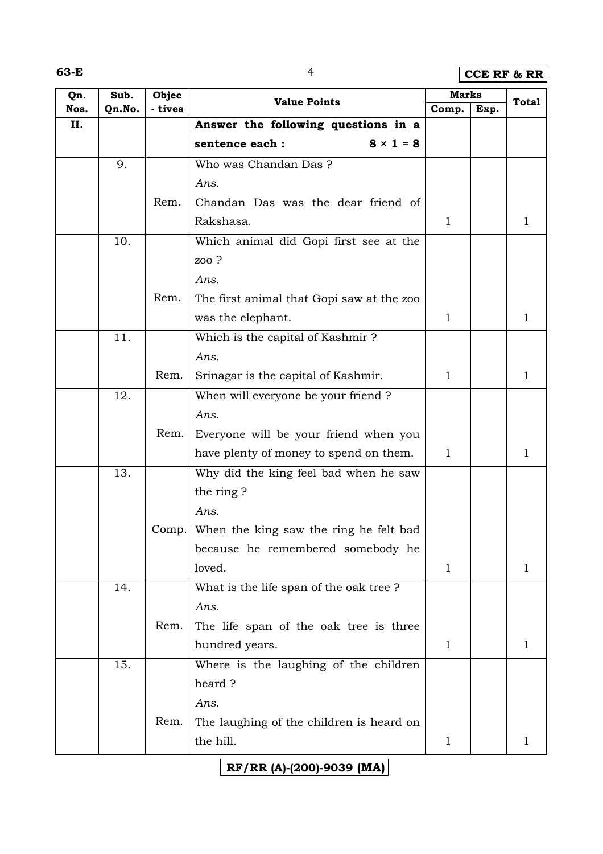**63-E** 4 **CCE RF & RR**

| Qn.  | Sub.   | Objec   | <b>Value Points</b>                       | <b>Marks</b> |      | <b>Total</b> |
|------|--------|---------|-------------------------------------------|--------------|------|--------------|
| Nos. | Qn.No. | - tives |                                           | Comp.        | Exp. |              |
| II.  |        |         | Answer the following questions in a       |              |      |              |
|      |        |         | $8 \times 1 = 8$<br>sentence each :       |              |      |              |
|      | 9.     |         | Who was Chandan Das?                      |              |      |              |
|      |        |         | Ans.                                      |              |      |              |
|      |        | Rem.    | Chandan Das was the dear friend of        |              |      |              |
|      |        |         | Rakshasa.                                 | $\mathbf{1}$ |      | 1            |
|      | 10.    |         | Which animal did Gopi first see at the    |              |      |              |
|      |        |         | zoo?                                      |              |      |              |
|      |        |         | Ans.                                      |              |      |              |
|      |        | Rem.    | The first animal that Gopi saw at the zoo |              |      |              |
|      |        |         | was the elephant.                         | $\mathbf{1}$ |      | 1            |
|      | 11.    |         | Which is the capital of Kashmir?          |              |      |              |
|      |        |         | Ans.                                      |              |      |              |
|      |        | Rem.    | Srinagar is the capital of Kashmir.       | $\mathbf{1}$ |      | 1            |
|      | 12.    |         | When will everyone be your friend ?       |              |      |              |
|      |        |         | Ans.                                      |              |      |              |
|      |        | Rem.    | Everyone will be your friend when you     |              |      |              |
|      |        |         | have plenty of money to spend on them.    | $\mathbf{1}$ |      | 1            |
|      | 13.    |         | Why did the king feel bad when he saw     |              |      |              |
|      |        |         | the ring?                                 |              |      |              |
|      |        |         | Ans.                                      |              |      |              |
|      |        | Comp.   | When the king saw the ring he felt bad    |              |      |              |
|      |        |         | because he remembered somebody he         |              |      |              |
|      |        |         | loved.                                    | 1            |      | 1            |
|      | 14.    |         | What is the life span of the oak tree?    |              |      |              |
|      |        |         | Ans.                                      |              |      |              |
|      |        | Rem.    | The life span of the oak tree is three    |              |      |              |
|      |        |         | hundred years.                            | $\mathbf{1}$ |      | 1            |
|      | 15.    |         | Where is the laughing of the children     |              |      |              |
|      |        |         | heard?                                    |              |      |              |
|      |        |         | Ans.                                      |              |      |              |
|      |        | Rem.    | The laughing of the children is heard on  |              |      |              |
|      |        |         | the hill.                                 | $\mathbf{1}$ |      | 1            |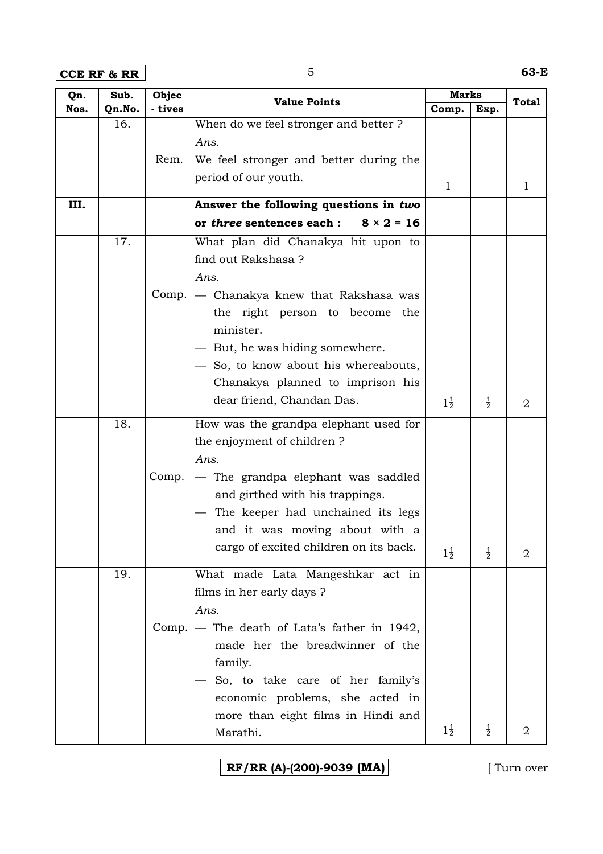**CCE RF & RR** 5 **63-E**

| Qn.  | Sub.   | Objec   | <b>Value Points</b>                            | <b>Marks</b>   |               | <b>Total</b>   |
|------|--------|---------|------------------------------------------------|----------------|---------------|----------------|
| Nos. | Qn.No. | - tives |                                                | Comp.          | Exp.          |                |
|      | 16.    |         | When do we feel stronger and better ?          |                |               |                |
|      |        |         | Ans.                                           |                |               |                |
|      |        | Rem.    | We feel stronger and better during the         |                |               |                |
|      |        |         | period of our youth.                           | $\mathbf{1}$   |               | 1              |
| III. |        |         | Answer the following questions in two          |                |               |                |
|      |        |         | or three sentences each :<br>$8 \times 2 = 16$ |                |               |                |
|      | 17.    |         | What plan did Chanakya hit upon to             |                |               |                |
|      |        |         | find out Rakshasa ?                            |                |               |                |
|      |        |         | Ans.                                           |                |               |                |
|      |        | Comp.   | - Chanakya knew that Rakshasa was              |                |               |                |
|      |        |         | the right person to become the                 |                |               |                |
|      |        |         | minister.                                      |                |               |                |
|      |        |         | - But, he was hiding somewhere.                |                |               |                |
|      |        |         | - So, to know about his whereabouts,           |                |               |                |
|      |        |         | Chanakya planned to imprison his               |                |               |                |
|      |        |         | dear friend, Chandan Das.                      | $1\frac{1}{2}$ | $\frac{1}{2}$ | $\overline{2}$ |
|      |        |         |                                                |                |               |                |
|      | 18.    |         | How was the grandpa elephant used for          |                |               |                |
|      |        |         | the enjoyment of children?                     |                |               |                |
|      |        |         | Ans.                                           |                |               |                |
|      |        | Comp.   | - The grandpa elephant was saddled             |                |               |                |
|      |        |         | and girthed with his trappings.                |                |               |                |
|      |        |         | The keeper had unchained its legs              |                |               |                |
|      |        |         | and it was moving about with a                 |                |               |                |
|      |        |         | cargo of excited children on its back.         | $1\frac{1}{2}$ | $\frac{1}{2}$ | 2              |
|      | 19.    |         | What made Lata Mangeshkar act in               |                |               |                |
|      |        |         | films in her early days ?                      |                |               |                |
|      |        |         | Ans.                                           |                |               |                |
|      |        | Comp.   | - The death of Lata's father in 1942,          |                |               |                |
|      |        |         | made her the breadwinner of the                |                |               |                |
|      |        |         | family.                                        |                |               |                |
|      |        |         | So, to take care of her family's               |                |               |                |
|      |        |         | economic problems, she acted in                |                |               |                |
|      |        |         | more than eight films in Hindi and             |                |               |                |
|      |        |         | Marathi.                                       | $1\frac{1}{2}$ | $\frac{1}{2}$ | $\overline{2}$ |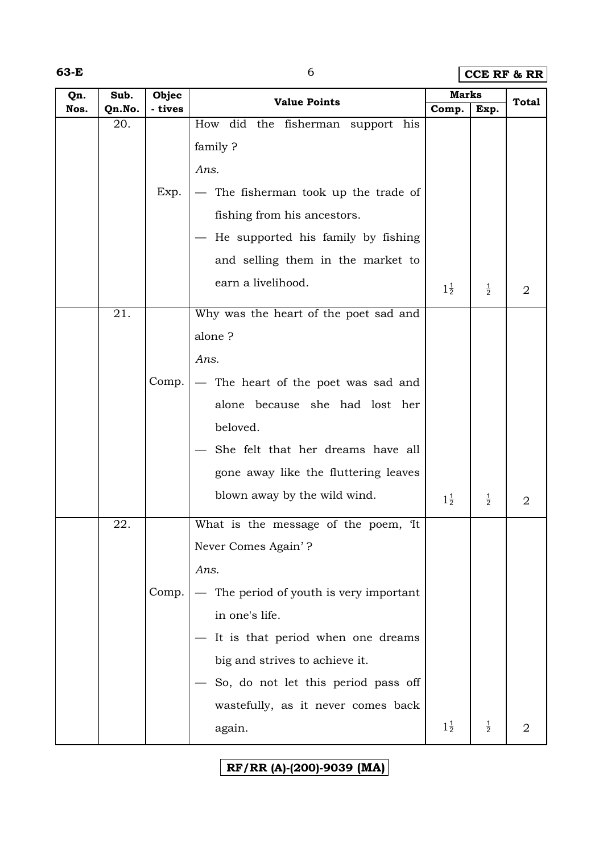**63-E** 6 **CCE RF & RR** 

| Qn.  | Sub.   | Objec   | <b>Value Points</b>                   | <b>Marks</b>   |               | <b>Total</b>   |
|------|--------|---------|---------------------------------------|----------------|---------------|----------------|
| Nos. | Qn.No. | - tives |                                       | Comp.          | Exp.          |                |
|      | 20.    |         | How did the fisherman support his     |                |               |                |
|      |        |         | family?                               |                |               |                |
|      |        |         | Ans.                                  |                |               |                |
|      |        | Exp.    | - The fisherman took up the trade of  |                |               |                |
|      |        |         | fishing from his ancestors.           |                |               |                |
|      |        |         | - He supported his family by fishing  |                |               |                |
|      |        |         | and selling them in the market to     |                |               |                |
|      |        |         | earn a livelihood.                    | $1\frac{1}{2}$ | $\frac{1}{2}$ | 2              |
|      | 21.    |         | Why was the heart of the poet sad and |                |               |                |
|      |        |         | alone?                                |                |               |                |
|      |        |         | Ans.                                  |                |               |                |
|      |        | Comp.   | - The heart of the poet was sad and   |                |               |                |
|      |        |         | alone because she had lost her        |                |               |                |
|      |        |         | beloved.                              |                |               |                |
|      |        |         | She felt that her dreams have all     |                |               |                |
|      |        |         | gone away like the fluttering leaves  |                |               |                |
|      |        |         | blown away by the wild wind.          | $1\frac{1}{2}$ | $\frac{1}{2}$ | 2              |
|      | 22.    |         | What is the message of the poem, It   |                |               |                |
|      |        |         | Never Comes Again'?                   |                |               |                |
|      |        |         | Ans.                                  |                |               |                |
|      |        | Comp.   | The period of youth is very important |                |               |                |
|      |        |         | in one's life.                        |                |               |                |
|      |        |         | It is that period when one dreams     |                |               |                |
|      |        |         | big and strives to achieve it.        |                |               |                |
|      |        |         | So, do not let this period pass off   |                |               |                |
|      |        |         | wastefully, as it never comes back    |                |               |                |
|      |        |         | again.                                | $1\frac{1}{2}$ | $\frac{1}{2}$ | $\overline{2}$ |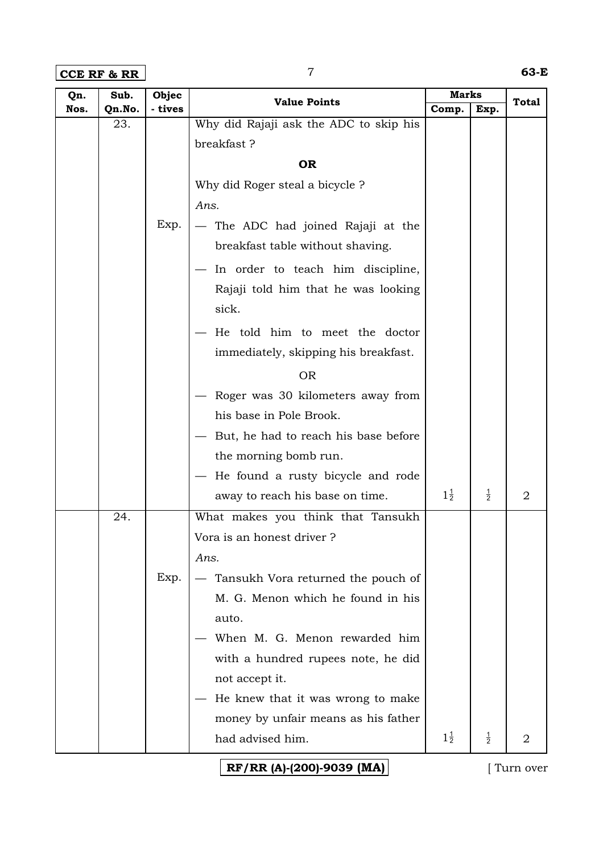**CCE RF & RR** 7 **63-E**

| Qn.  | Sub.   | Objec   |                                        | Marks          |               |              |
|------|--------|---------|----------------------------------------|----------------|---------------|--------------|
| Nos. | Qn.No. | - tives | <b>Value Points</b>                    | Comp.          | Exp.          | <b>Total</b> |
|      | 23.    |         | Why did Rajaji ask the ADC to skip his |                |               |              |
|      |        |         | breakfast?                             |                |               |              |
|      |        |         | <b>OR</b>                              |                |               |              |
|      |        |         | Why did Roger steal a bicycle ?        |                |               |              |
|      |        |         | Ans.                                   |                |               |              |
|      |        | Exp.    | - The ADC had joined Rajaji at the     |                |               |              |
|      |        |         | breakfast table without shaving.       |                |               |              |
|      |        |         | In order to teach him discipline,      |                |               |              |
|      |        |         | Rajaji told him that he was looking    |                |               |              |
|      |        |         | sick.                                  |                |               |              |
|      |        |         | He told him to meet the doctor         |                |               |              |
|      |        |         | immediately, skipping his breakfast.   |                |               |              |
|      |        |         | <b>OR</b>                              |                |               |              |
|      |        |         | Roger was 30 kilometers away from      |                |               |              |
|      |        |         | his base in Pole Brook.                |                |               |              |
|      |        |         | But, he had to reach his base before   |                |               |              |
|      |        |         | the morning bomb run.                  |                |               |              |
|      |        |         | He found a rusty bicycle and rode      |                |               |              |
|      |        |         | away to reach his base on time.        | $1\frac{1}{2}$ | $\frac{1}{2}$ | 2            |
|      | 24.    |         | What makes you think that Tansukh      |                |               |              |
|      |        |         | Vora is an honest driver?              |                |               |              |
|      |        |         | Ans.                                   |                |               |              |
|      |        | Exp.    | Tansukh Vora returned the pouch of     |                |               |              |
|      |        |         | M. G. Menon which he found in his      |                |               |              |
|      |        |         | auto.                                  |                |               |              |
|      |        |         | When M. G. Menon rewarded him          |                |               |              |
|      |        |         | with a hundred rupees note, he did     |                |               |              |
|      |        |         | not accept it.                         |                |               |              |
|      |        |         | He knew that it was wrong to make      |                |               |              |
|      |        |         | money by unfair means as his father    |                |               |              |
|      |        |         | had advised him.                       | $1\frac{1}{2}$ | $\frac{1}{2}$ | 2            |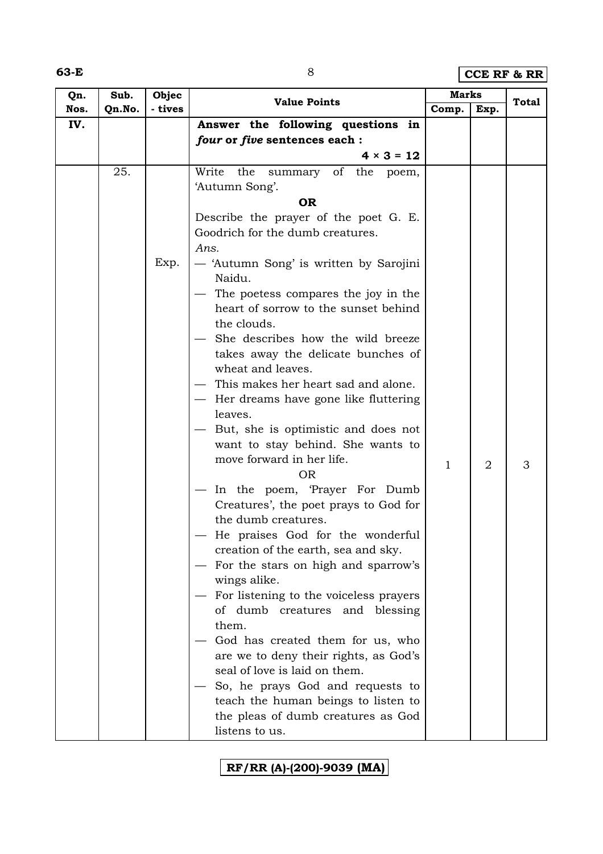**63-E** 8 **CCE RF & RR**

| Qn.  | Sub.   | Objec   | <b>Value Points</b>                                                         | <b>Marks</b> |                | <b>Total</b> |
|------|--------|---------|-----------------------------------------------------------------------------|--------------|----------------|--------------|
| Nos. | Qn.No. | - tives |                                                                             | Comp.        | Exp.           |              |
| IV.  |        |         | Answer the following questions in                                           |              |                |              |
|      |        |         | four or five sentences each :                                               |              |                |              |
|      |        |         | $4 \times 3 = 12$                                                           |              |                |              |
|      | 25.    |         | Write<br>the<br>summary of the<br>poem,                                     |              |                |              |
|      |        |         | 'Autumn Song'.                                                              |              |                |              |
|      |        |         | <b>OR</b>                                                                   |              |                |              |
|      |        |         | Describe the prayer of the poet G. E.                                       |              |                |              |
|      |        |         | Goodrich for the dumb creatures.                                            |              |                |              |
|      |        |         | Ans.                                                                        |              |                |              |
|      |        | Exp.    | — 'Autumn Song' is written by Sarojini<br>Naidu.                            |              |                |              |
|      |        |         | The poetess compares the joy in the<br>heart of sorrow to the sunset behind |              |                |              |
|      |        |         | the clouds.                                                                 |              |                |              |
|      |        |         | She describes how the wild breeze                                           |              |                |              |
|      |        |         | takes away the delicate bunches of<br>wheat and leaves.                     |              |                |              |
|      |        |         | This makes her heart sad and alone.                                         |              |                |              |
|      |        |         | - Her dreams have gone like fluttering                                      |              |                |              |
|      |        |         | leaves.                                                                     |              |                |              |
|      |        |         | But, she is optimistic and does not                                         |              |                |              |
|      |        |         | want to stay behind. She wants to                                           |              |                |              |
|      |        |         | move forward in her life.                                                   | $\mathbf{1}$ | $\overline{2}$ | 3            |
|      |        |         | <b>OR</b>                                                                   |              |                |              |
|      |        |         | In the poem, 'Prayer For Dumb                                               |              |                |              |
|      |        |         | Creatures', the poet prays to God for                                       |              |                |              |
|      |        |         | the dumb creatures.                                                         |              |                |              |
|      |        |         | He praises God for the wonderful<br>creation of the earth, sea and sky.     |              |                |              |
|      |        |         | For the stars on high and sparrow's                                         |              |                |              |
|      |        |         | wings alike.                                                                |              |                |              |
|      |        |         | For listening to the voiceless prayers                                      |              |                |              |
|      |        |         | of dumb creatures and blessing                                              |              |                |              |
|      |        |         | them.                                                                       |              |                |              |
|      |        |         | God has created them for us, who                                            |              |                |              |
|      |        |         | are we to deny their rights, as God's                                       |              |                |              |
|      |        |         | seal of love is laid on them.                                               |              |                |              |
|      |        |         | So, he prays God and requests to                                            |              |                |              |
|      |        |         | teach the human beings to listen to                                         |              |                |              |
|      |        |         | the pleas of dumb creatures as God                                          |              |                |              |
|      |        |         | listens to us.                                                              |              |                |              |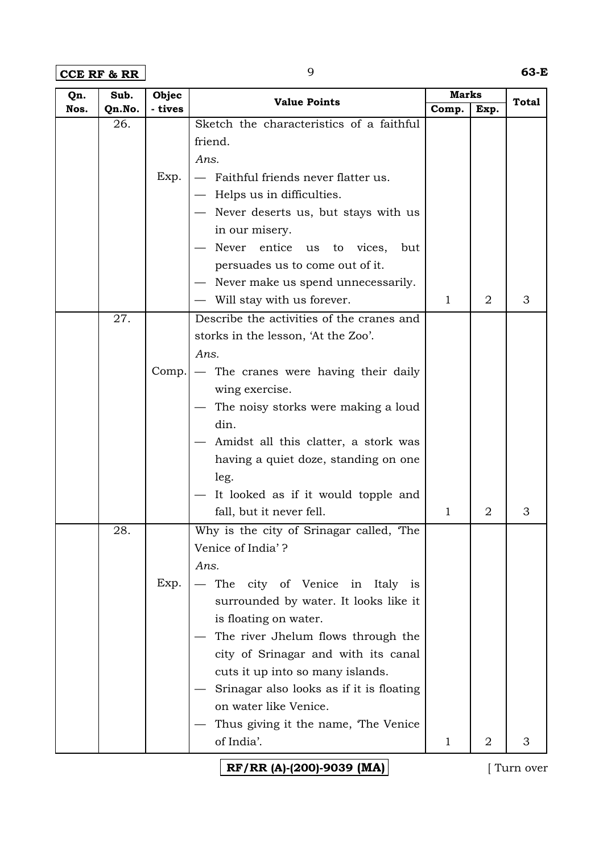**CCE RF & RR** 9 **63-E**

| Qn.  | Sub.   | Objec   | <b>Value Points</b>                       | Marks        |                | <b>Total</b> |
|------|--------|---------|-------------------------------------------|--------------|----------------|--------------|
| Nos. | Qn.No. | - tives |                                           | Comp.        | Exp.           |              |
|      | 26.    |         | Sketch the characteristics of a faithful  |              |                |              |
|      |        |         | friend.                                   |              |                |              |
|      |        |         | Ans.                                      |              |                |              |
|      |        | Exp.    | - Faithful friends never flatter us.      |              |                |              |
|      |        |         | - Helps us in difficulties.               |              |                |              |
|      |        |         | - Never deserts us, but stays with us     |              |                |              |
|      |        |         | in our misery.                            |              |                |              |
|      |        |         | Never entice us<br>to vices,<br>but       |              |                |              |
|      |        |         | persuades us to come out of it.           |              |                |              |
|      |        |         | Never make us spend unnecessarily.        |              |                |              |
|      |        |         | - Will stay with us forever.              | $\mathbf{1}$ | 2              | 3            |
|      | 27.    |         | Describe the activities of the cranes and |              |                |              |
|      |        |         | storks in the lesson, 'At the Zoo'.       |              |                |              |
|      |        |         | Ans.                                      |              |                |              |
|      |        | Comp.   | - The cranes were having their daily      |              |                |              |
|      |        |         | wing exercise.                            |              |                |              |
|      |        |         | The noisy storks were making a loud       |              |                |              |
|      |        |         | din.                                      |              |                |              |
|      |        |         | Amidst all this clatter, a stork was      |              |                |              |
|      |        |         | having a quiet doze, standing on one      |              |                |              |
|      |        |         | leg.                                      |              |                |              |
|      |        |         | It looked as if it would topple and       |              |                |              |
|      |        |         | fall, but it never fell.                  | $\mathbf{1}$ | 2              | 3            |
|      | 28.    |         | Why is the city of Srinagar called, The   |              |                |              |
|      |        |         | Venice of India'?                         |              |                |              |
|      |        |         | Ans.                                      |              |                |              |
|      |        | Exp.    | The city of Venice in Italy is            |              |                |              |
|      |        |         | surrounded by water. It looks like it     |              |                |              |
|      |        |         | is floating on water.                     |              |                |              |
|      |        |         | The river Jhelum flows through the        |              |                |              |
|      |        |         | city of Srinagar and with its canal       |              |                |              |
|      |        |         | cuts it up into so many islands.          |              |                |              |
|      |        |         | Srinagar also looks as if it is floating  |              |                |              |
|      |        |         | on water like Venice.                     |              |                |              |
|      |        |         | Thus giving it the name, The Venice       |              |                |              |
|      |        |         | of India'.                                | $\mathbf{1}$ | $\overline{2}$ | 3            |
|      |        |         |                                           |              |                |              |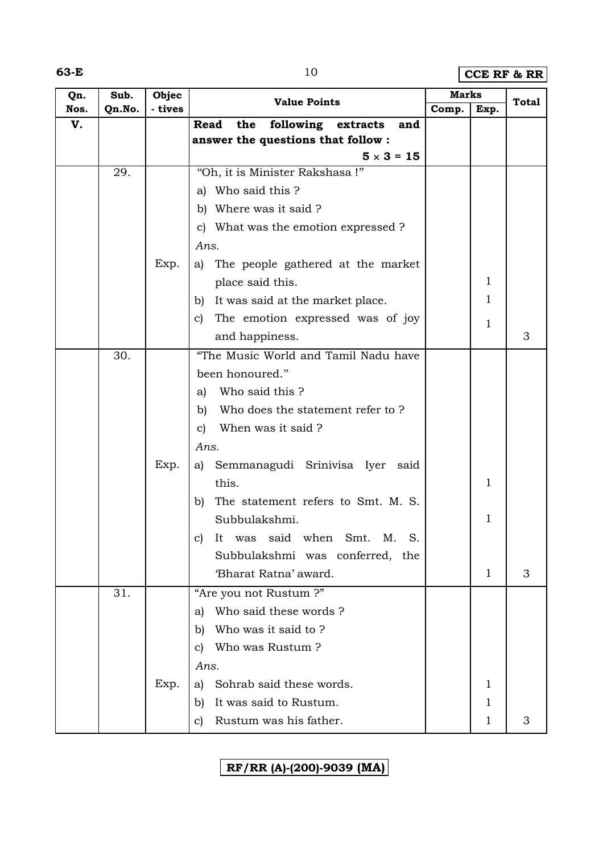| ×<br>M.<br>۰.<br>v |  |
|--------------------|--|
|--------------------|--|

**63-10 <b>CCE RF & RR** 

| Qn.  | Sub.   | Objec   | <b>Value Points</b>                              | <b>Marks</b> |              | Total |
|------|--------|---------|--------------------------------------------------|--------------|--------------|-------|
| Nos. | Qn.No. | - tives |                                                  | Comp.        | Exp.         |       |
| V.   |        |         | following<br>the<br>Read<br>extracts<br>and      |              |              |       |
|      |        |         | answer the questions that follow :               |              |              |       |
|      |        |         | $5 \times 3 = 15$                                |              |              |       |
|      | 29.    |         | "Oh, it is Minister Rakshasa !"                  |              |              |       |
|      |        |         | a) Who said this?                                |              |              |       |
|      |        |         | b) Where was it said ?                           |              |              |       |
|      |        |         | c) What was the emotion expressed ?              |              |              |       |
|      |        |         | Ans.                                             |              |              |       |
|      |        | Exp.    | The people gathered at the market<br>a)          |              |              |       |
|      |        |         | place said this.                                 |              | 1            |       |
|      |        |         | It was said at the market place.<br>b)           |              | 1            |       |
|      |        |         | The emotion expressed was of joy<br>$\mathbf{C}$ |              | 1            |       |
|      |        |         | and happiness.                                   |              |              | 3     |
|      | 30.    |         | "The Music World and Tamil Nadu have             |              |              |       |
|      |        |         | been honoured."                                  |              |              |       |
|      |        |         | Who said this?<br>a)                             |              |              |       |
|      |        |         | Who does the statement refer to?<br>b)           |              |              |       |
|      |        |         | When was it said?<br>$\mathbf{c}$                |              |              |       |
|      |        |         | Ans.                                             |              |              |       |
|      |        | Exp.    | a) Semmanagudi Srinivisa Iyer said               |              |              |       |
|      |        |         | this.                                            |              | 1            |       |
|      |        |         | The statement refers to Smt. M. S.               |              |              |       |
|      |        |         | b)<br>Subbulakshmi.                              |              | 1            |       |
|      |        |         |                                                  |              |              |       |
|      |        |         | It was said when<br>S.<br>Smt.<br>Μ.<br>C)       |              |              |       |
|      |        |         | Subbulakshmi was conferred, the                  |              |              |       |
|      |        |         | 'Bharat Ratna' award.                            |              | $\mathbf{1}$ | 3     |
|      | 31.    |         | "Are you not Rustum?"                            |              |              |       |
|      |        |         | Who said these words?<br>a)                      |              |              |       |
|      |        |         | Who was it said to?<br>b)                        |              |              |       |
|      |        |         | Who was Rustum?<br>C)                            |              |              |       |
|      |        |         | Ans.                                             |              |              |       |
|      |        | Exp.    | Sohrab said these words.<br>a)                   |              | 1            |       |
|      |        |         | It was said to Rustum.<br>b)                     |              | 1            |       |
|      |        |         | Rustum was his father.<br>C)                     |              | 1            | 3     |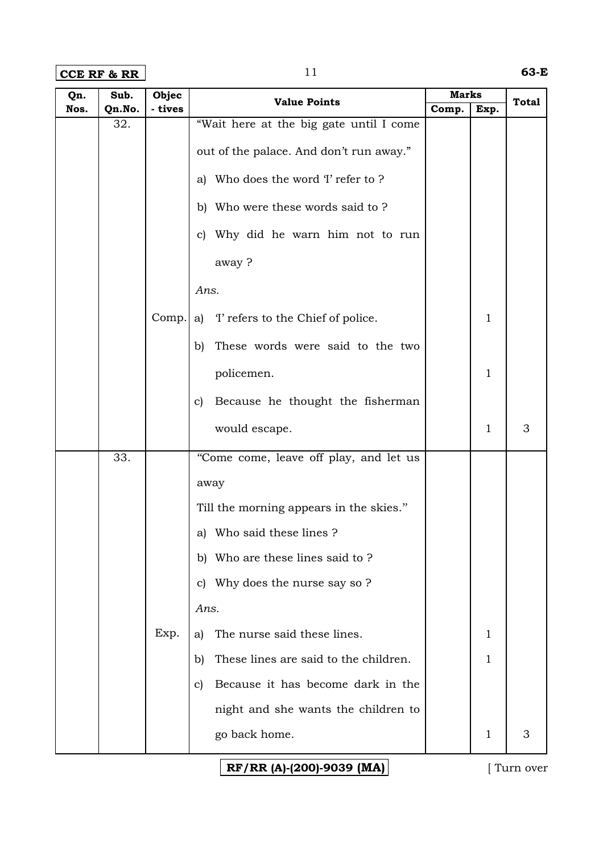**CCE RF & RR** 11 **63-E**

| Qn.  | Sub.   | Objec   | <b>Value Points</b>                         | <b>Marks</b> |      | <b>Total</b>  |
|------|--------|---------|---------------------------------------------|--------------|------|---------------|
| Nos. | Qn.No. | - tives |                                             | Comp.        | Exp. |               |
|      | 32.    |         | "Wait here at the big gate until I come     |              |      |               |
|      |        |         | out of the palace. And don't run away."     |              |      |               |
|      |        |         | a) Who does the word T refer to ?           |              |      |               |
|      |        |         | b) Who were these words said to ?           |              |      |               |
|      |        |         | Why did he warn him not to run<br>C)        |              |      |               |
|      |        |         | away?                                       |              |      |               |
|      |        |         | Ans.                                        |              |      |               |
|      |        | Comp.   | a) T refers to the Chief of police.         |              | 1    |               |
|      |        |         | These words were said to the two<br>b)      |              |      |               |
|      |        |         | policemen.                                  |              | 1    |               |
|      |        |         | Because he thought the fisherman<br>c)      |              |      |               |
|      |        |         | would escape.                               |              | 1    | $\mathfrak 3$ |
|      | 33.    |         | "Come come, leave off play, and let us      |              |      |               |
|      |        |         | away                                        |              |      |               |
|      |        |         | Till the morning appears in the skies."     |              |      |               |
|      |        |         | a) Who said these lines?                    |              |      |               |
|      |        |         | Who are these lines said to ?<br>b)         |              |      |               |
|      |        |         | Why does the nurse say so ?<br>$\mathbf{C}$ |              |      |               |
|      |        |         | Ans.                                        |              |      |               |
|      |        | Exp.    | The nurse said these lines.<br>a)           |              | 1    |               |
|      |        |         | These lines are said to the children.<br>b) |              | 1    |               |
|      |        |         | Because it has become dark in the<br>C)     |              |      |               |
|      |        |         | night and she wants the children to         |              |      |               |
|      |        |         | go back home.                               |              | 1    | 3             |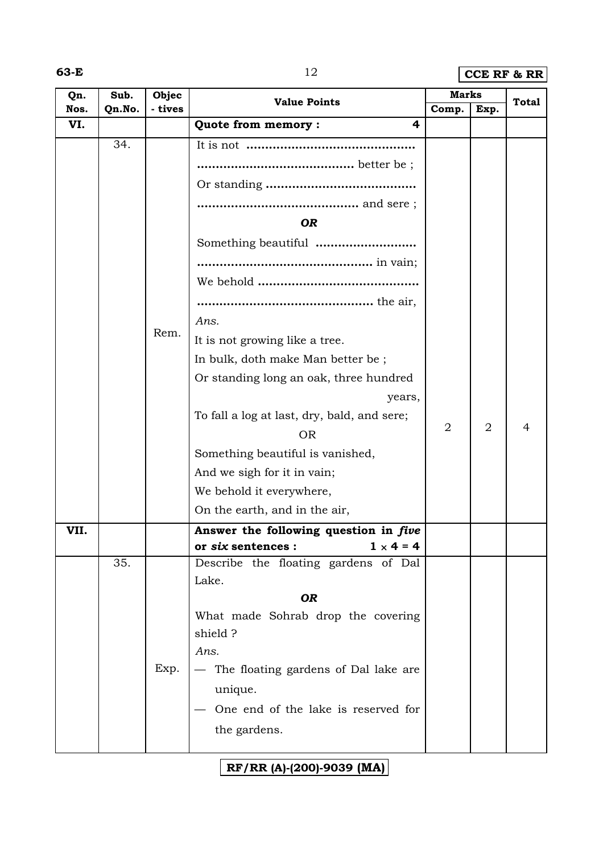**63-E** 12 **CCE RF & RR** 

| Qn.  | Sub.<br>Qn.No. | Objec<br>- tives | <b>Value Points</b>                         | <b>Marks</b>   |                | <b>Total</b>   |
|------|----------------|------------------|---------------------------------------------|----------------|----------------|----------------|
| Nos. |                |                  |                                             | Comp.          | Exp.           |                |
| VI.  |                |                  | Quote from memory:<br>4                     |                |                |                |
|      | 34.            |                  |                                             |                |                |                |
|      |                |                  |                                             |                |                |                |
|      |                |                  |                                             |                |                |                |
|      |                |                  |                                             |                |                |                |
|      |                |                  | <b>OR</b>                                   |                |                |                |
|      |                |                  | Something beautiful                         |                |                |                |
|      |                |                  |                                             |                |                |                |
|      |                |                  |                                             |                |                |                |
|      |                |                  |                                             |                |                |                |
|      |                |                  | Ans.                                        |                |                |                |
|      |                | Rem.             | It is not growing like a tree.              |                |                |                |
|      |                |                  | In bulk, doth make Man better be;           |                |                |                |
|      |                |                  | Or standing long an oak, three hundred      |                |                |                |
|      |                |                  | years,                                      |                |                |                |
|      |                |                  | To fall a log at last, dry, bald, and sere; |                |                |                |
|      |                |                  | <b>OR</b>                                   | $\overline{2}$ | $\overline{2}$ | $\overline{4}$ |
|      |                |                  | Something beautiful is vanished,            |                |                |                |
|      |                |                  | And we sigh for it in vain;                 |                |                |                |
|      |                |                  | We behold it everywhere,                    |                |                |                |
|      |                |                  | On the earth, and in the air,               |                |                |                |
| VII. |                |                  | Answer the following question in five       |                |                |                |
|      |                |                  | $1 \times 4 = 4$<br>or six sentences :      |                |                |                |
|      | 35.            |                  | Describe the floating gardens of Dal        |                |                |                |
|      |                |                  | Lake.                                       |                |                |                |
|      |                |                  | <b>OR</b>                                   |                |                |                |
|      |                |                  | What made Sohrab drop the covering          |                |                |                |
|      |                |                  | shield?                                     |                |                |                |
|      |                |                  | Ans.                                        |                |                |                |
|      |                | Exp.             | The floating gardens of Dal lake are        |                |                |                |
|      |                |                  | unique.                                     |                |                |                |
|      |                |                  | One end of the lake is reserved for         |                |                |                |
|      |                |                  | the gardens.                                |                |                |                |
|      |                |                  |                                             |                |                |                |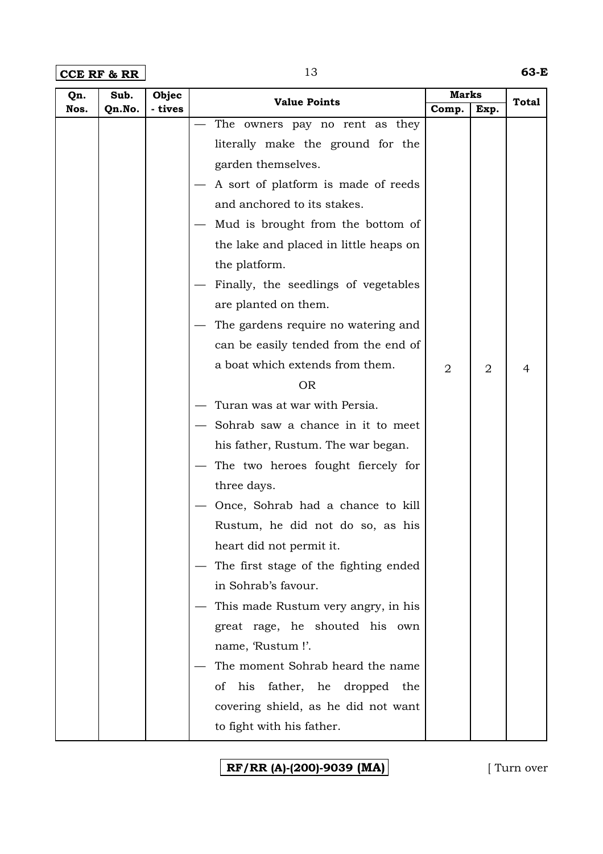**CCE RF & RR** 13 **63-E**

| Qn.  | Sub.   | Objec   | <b>Value Points</b>                    | <b>Marks</b>   |                | <b>Total</b> |
|------|--------|---------|----------------------------------------|----------------|----------------|--------------|
| Nos. | Qn.No. | - tives |                                        | Comp.          | Exp.           |              |
|      |        |         | The owners pay no rent as they         |                |                |              |
|      |        |         | literally make the ground for the      |                |                |              |
|      |        |         | garden themselves.                     |                |                |              |
|      |        |         | A sort of platform is made of reeds    |                |                |              |
|      |        |         | and anchored to its stakes.            |                |                |              |
|      |        |         | Mud is brought from the bottom of      |                |                |              |
|      |        |         | the lake and placed in little heaps on |                |                |              |
|      |        |         | the platform.                          |                |                |              |
|      |        |         | Finally, the seedlings of vegetables   |                |                |              |
|      |        |         | are planted on them.                   |                |                |              |
|      |        |         | The gardens require no watering and    |                |                |              |
|      |        |         | can be easily tended from the end of   |                |                |              |
|      |        |         | a boat which extends from them.        | $\overline{2}$ | $\overline{2}$ | 4            |
|      |        |         | <b>OR</b>                              |                |                |              |
|      |        |         | Turan was at war with Persia.          |                |                |              |
|      |        |         | Sohrab saw a chance in it to meet      |                |                |              |
|      |        |         | his father, Rustum. The war began.     |                |                |              |
|      |        |         | The two heroes fought fiercely for     |                |                |              |
|      |        |         | three days.                            |                |                |              |
|      |        |         | Once, Sohrab had a chance to kill      |                |                |              |
|      |        |         | Rustum, he did not do so, as his       |                |                |              |
|      |        |         | heart did not permit it.               |                |                |              |
|      |        |         | The first stage of the fighting ended  |                |                |              |
|      |        |         | in Sohrab's favour.                    |                |                |              |
|      |        |         | This made Rustum very angry, in his    |                |                |              |
|      |        |         | great rage, he shouted his own         |                |                |              |
|      |        |         | name, 'Rustum!'.                       |                |                |              |
|      |        |         | The moment Sohrab heard the name       |                |                |              |
|      |        |         | of                                     |                |                |              |
|      |        |         | his father, he dropped<br>the          |                |                |              |
|      |        |         | covering shield, as he did not want    |                |                |              |
|      |        |         | to fight with his father.              |                |                |              |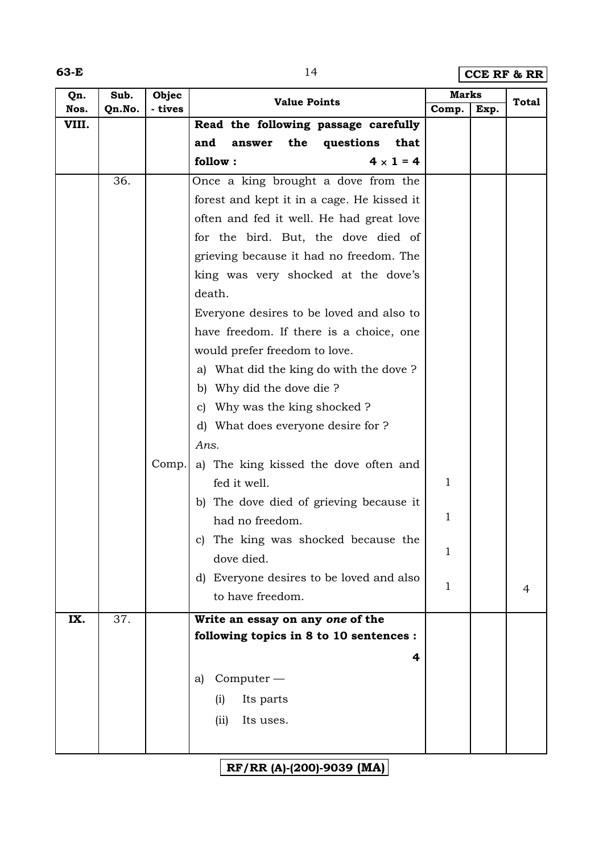**63-E** 14 **CCE RF & RR** 

| Qn.   | Sub.   | Objec   | <b>Value Points</b>                        | <b>Marks</b> |      | <b>Total</b> |
|-------|--------|---------|--------------------------------------------|--------------|------|--------------|
| Nos.  | Qn.No. | - tives |                                            | Comp.        | Exp. |              |
| VIII. |        |         | Read the following passage carefully       |              |      |              |
|       |        |         | and<br>the<br>questions<br>that<br>answer  |              |      |              |
|       |        |         | $4 \times 1 = 4$<br>follow:                |              |      |              |
|       | 36.    |         | Once a king brought a dove from the        |              |      |              |
|       |        |         | forest and kept it in a cage. He kissed it |              |      |              |
|       |        |         | often and fed it well. He had great love   |              |      |              |
|       |        |         | for the bird. But, the dove died of        |              |      |              |
|       |        |         | grieving because it had no freedom. The    |              |      |              |
|       |        |         | king was very shocked at the dove's        |              |      |              |
|       |        |         | death.                                     |              |      |              |
|       |        |         | Everyone desires to be loved and also to   |              |      |              |
|       |        |         | have freedom. If there is a choice, one    |              |      |              |
|       |        |         | would prefer freedom to love.              |              |      |              |
|       |        |         | What did the king do with the dove?<br>a)  |              |      |              |
|       |        |         | Why did the dove die?<br>b)                |              |      |              |
|       |        |         | Why was the king shocked?<br>C)            |              |      |              |
|       |        |         | d) What does everyone desire for ?         |              |      |              |
|       |        |         | Ans.                                       |              |      |              |
|       |        | Comp.   | a) The king kissed the dove often and      |              |      |              |
|       |        |         | fed it well.                               | 1            |      |              |
|       |        |         | The dove died of grieving because it<br>b) |              |      |              |
|       |        |         | had no freedom.                            | $\mathbf{1}$ |      |              |
|       |        |         | c) The king was shocked because the        |              |      |              |
|       |        |         | dove died.                                 | $\mathbf{1}$ |      |              |
|       |        |         | d) Everyone desires to be loved and also   | $\mathbf{1}$ |      |              |
|       |        |         | to have freedom.                           |              |      | 4            |
| IX.   | 37.    |         | Write an essay on any one of the           |              |      |              |
|       |        |         | following topics in 8 to 10 sentences :    |              |      |              |
|       |        |         | 4                                          |              |      |              |
|       |        |         | $Computer-$<br>a)                          |              |      |              |
|       |        |         | Its parts<br>(i)                           |              |      |              |
|       |        |         |                                            |              |      |              |
|       |        |         | Its uses.<br>(ii)                          |              |      |              |
|       |        |         |                                            |              |      |              |